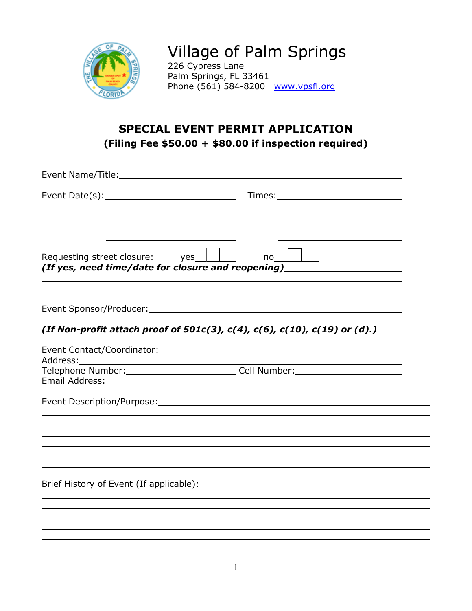

Village of Palm Springs 226 Cypress Lane Palm Springs, FL 33461 Phone (561) 584-8200 [www.vpsfl.org](http://www.villageofpalmsprings.org/)

## **SPECIAL EVENT PERMIT APPLICATION (Filing Fee \$50.00 + \$80.00 if inspection required)**

| Requesting street closure: yes                                            | no<br>(If yes, need time/date for closure and reopening)                         |  |  |  |
|---------------------------------------------------------------------------|----------------------------------------------------------------------------------|--|--|--|
|                                                                           |                                                                                  |  |  |  |
| (If Non-profit attach proof of 501c(3), c(4), c(6), c(10), c(19) or (d).) |                                                                                  |  |  |  |
| Address:                                                                  |                                                                                  |  |  |  |
|                                                                           | Telephone Number:____________________________Cell Number:_______________________ |  |  |  |
|                                                                           |                                                                                  |  |  |  |
|                                                                           |                                                                                  |  |  |  |
|                                                                           |                                                                                  |  |  |  |
|                                                                           |                                                                                  |  |  |  |
|                                                                           |                                                                                  |  |  |  |
|                                                                           |                                                                                  |  |  |  |
|                                                                           |                                                                                  |  |  |  |
|                                                                           |                                                                                  |  |  |  |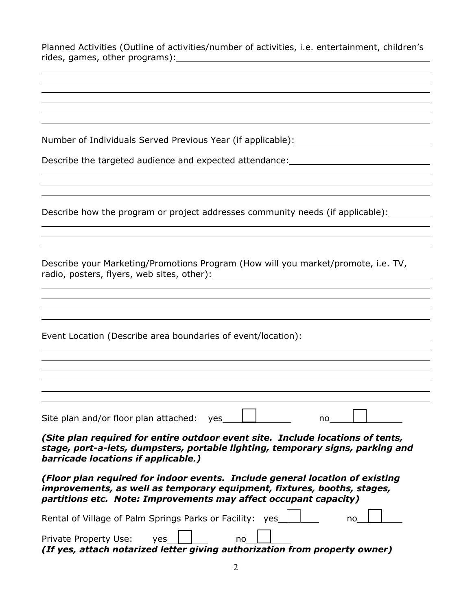| Planned Activities (Outline of activities/number of activities, i.e. entertainment, children's                                                                                                                              |  |  |
|-----------------------------------------------------------------------------------------------------------------------------------------------------------------------------------------------------------------------------|--|--|
|                                                                                                                                                                                                                             |  |  |
|                                                                                                                                                                                                                             |  |  |
|                                                                                                                                                                                                                             |  |  |
|                                                                                                                                                                                                                             |  |  |
| Number of Individuals Served Previous Year (if applicable): ____________________                                                                                                                                            |  |  |
| Describe the targeted audience and expected attendance: ________________________                                                                                                                                            |  |  |
|                                                                                                                                                                                                                             |  |  |
|                                                                                                                                                                                                                             |  |  |
| Describe how the program or project addresses community needs (if applicable):                                                                                                                                              |  |  |
|                                                                                                                                                                                                                             |  |  |
|                                                                                                                                                                                                                             |  |  |
| Describe your Marketing/Promotions Program (How will you market/promote, i.e. TV,                                                                                                                                           |  |  |
|                                                                                                                                                                                                                             |  |  |
|                                                                                                                                                                                                                             |  |  |
| Event Location (Describe area boundaries of event/location): ___________________                                                                                                                                            |  |  |
|                                                                                                                                                                                                                             |  |  |
|                                                                                                                                                                                                                             |  |  |
|                                                                                                                                                                                                                             |  |  |
| Site plan and/or floor plan attached: yes<br>no                                                                                                                                                                             |  |  |
| (Site plan required for entire outdoor event site. Include locations of tents,<br>stage, port-a-lets, dumpsters, portable lighting, temporary signs, parking and<br>barricade locations if applicable.)                     |  |  |
| (Floor plan required for indoor events. Include general location of existing<br>improvements, as well as temporary equipment, fixtures, booths, stages,<br>partitions etc. Note: Improvements may affect occupant capacity) |  |  |
| Rental of Village of Palm Springs Parks or Facility: yes<br>no                                                                                                                                                              |  |  |
|                                                                                                                                                                                                                             |  |  |

Private Property Use: ves\_1 1.1 mo *(If yes, attach notarized letter giving authorization from property owner)*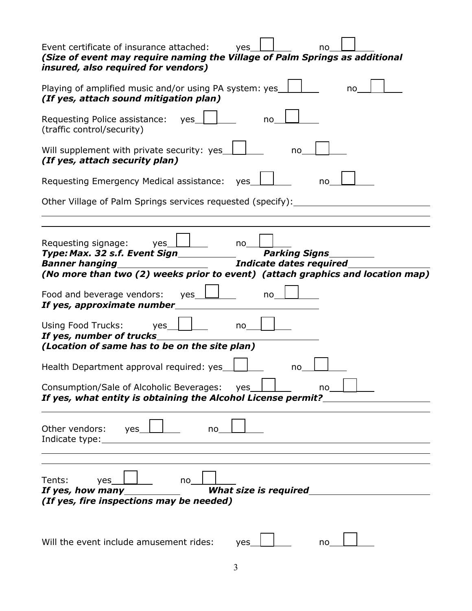| Event certificate of insurance attached:<br>yes<br>no<br>(Size of event may require naming the Village of Palm Springs as additional<br>insured, also required for vendors)                                                     |  |  |  |  |
|---------------------------------------------------------------------------------------------------------------------------------------------------------------------------------------------------------------------------------|--|--|--|--|
| Playing of amplified music and/or using PA system: yes<br>no<br>(If yes, attach sound mitigation plan)                                                                                                                          |  |  |  |  |
| Requesting Police assistance:<br>yes<br>no<br>(traffic control/security)                                                                                                                                                        |  |  |  |  |
| Will supplement with private security: yes<br>no<br>(If yes, attach security plan)<br>Requesting Emergency Medical assistance:<br>yes<br>no                                                                                     |  |  |  |  |
|                                                                                                                                                                                                                                 |  |  |  |  |
| Requesting signage:<br>yes<br>no<br><b>Parking Signs</b><br>Type: Max. 32 s.f. Event Sign<br><b>Banner hanging</b><br>Indicate dates required<br>(No more than two (2) weeks prior to event) (attach graphics and location map) |  |  |  |  |
| Food and beverage vendors:<br>yes<br>no<br>If yes, approximate number                                                                                                                                                           |  |  |  |  |
| Using Food Trucks:<br>yes<br>no<br>If yes, number of trucks<br>(Location of same has to be on the site plan)                                                                                                                    |  |  |  |  |
| Health Department approval required: yes<br>no                                                                                                                                                                                  |  |  |  |  |
| Consumption/Sale of Alcoholic Beverages:<br>yes<br>no<br>If yes, what entity is obtaining the Alcohol License permit?                                                                                                           |  |  |  |  |
| Other vendors:<br>yes<br>no<br>Indicate type:                                                                                                                                                                                   |  |  |  |  |
| Tents:<br>yes<br>no<br><b>What size is required</b><br>If yes, how many<br>(If yes, fire inspections may be needed)                                                                                                             |  |  |  |  |
| Will the event include amusement rides:<br>yes<br>no                                                                                                                                                                            |  |  |  |  |